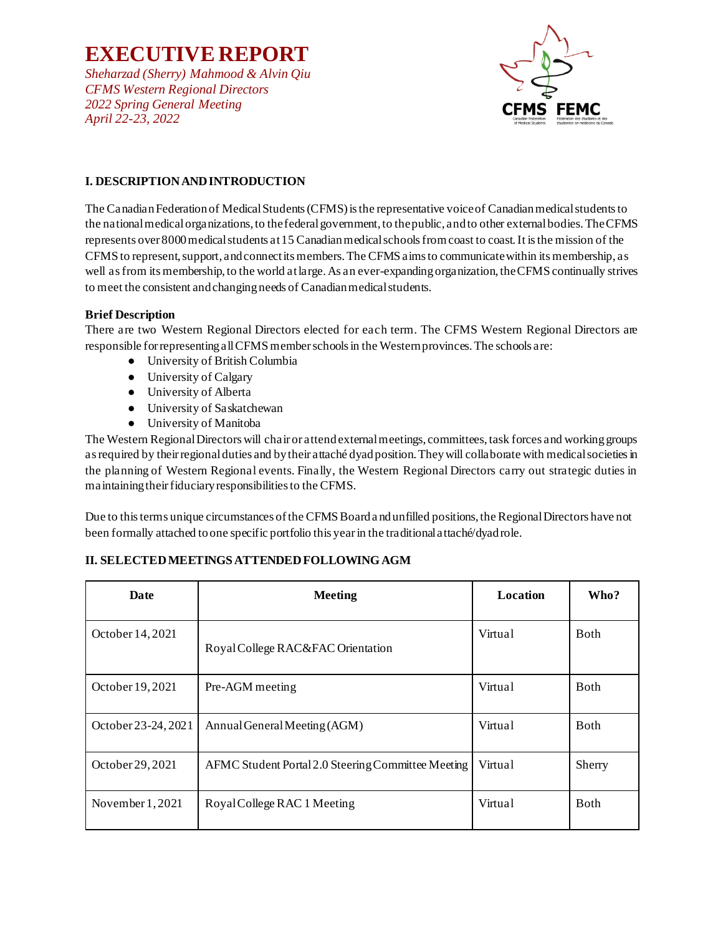*Sheharzad (Sherry) Mahmood & Alvin Qiu CFMS Western Regional Directors 2022 Spring General Meeting April 22-23, 2022*



## **I. DESCRIPTION AND INTRODUCTION**

The Canadian Federation of Medical Students (CFMS) is the representative voice of Canadian medical students to the national medical organizations, to the federal government, to the public, and to other external bodies. The CFMS represents over 8000 medical students at 15 Canadian medical schools from coast to coast. It is the mission of the CFMS to represent, support, and connect its members. The CFMS aims to communicate within its membership, as well as from its membership, to the world at large. As an ever-expanding organization, the CFMS continually strives to meet the consistent and changing needs of Canadian medical students.

#### **Brief Description**

There are two Western Regional Directors elected for each term. The CFMS Western Regional Directors are responsible for representing all CFMS member schools in the Western provinces. The schools are:

- University of British Columbia
- University of Calgary
- University of Alberta
- University of Saskatchewan
- University of Manitoba

The Western Regional Directors will chair or attend external meetings, committees, task forces and working groups as required by their regional duties and by their attaché dyad position. They will collaborate with medical societies in the planning of Western Regional events. Finally, the Western Regional Directors carry out strategic duties in maintaining their fiduciary responsibilities to the CFMS.

Due to this terms unique circumstances of the CFMS Board a nd unfilled positions, the Regional Directors have not been formally attached to one specific portfolio this year in the traditional attaché/dyad role.

#### **II. SELECTED MEETINGS ATTENDED FOLLOWING AGM**

| Date                | <b>Meeting</b>                                     | Location | Who?         |
|---------------------|----------------------------------------------------|----------|--------------|
| October 14, 2021    | Royal College RAC&FAC Orientation                  | Virtual  | <b>Both</b>  |
| October 19, 2021    | Pre-AGM meeting                                    | Virtual  | <b>Both</b>  |
| October 23-24, 2021 | Annual General Meeting (AGM)                       | Virtual  | <b>B</b> oth |
| October 29, 2021    | AFMC Student Portal 2.0 Steering Committee Meeting | Virtual  | Sherry       |
| November $1,2021$   | Royal College RAC 1 Meeting                        | Virtual  | <b>B</b> oth |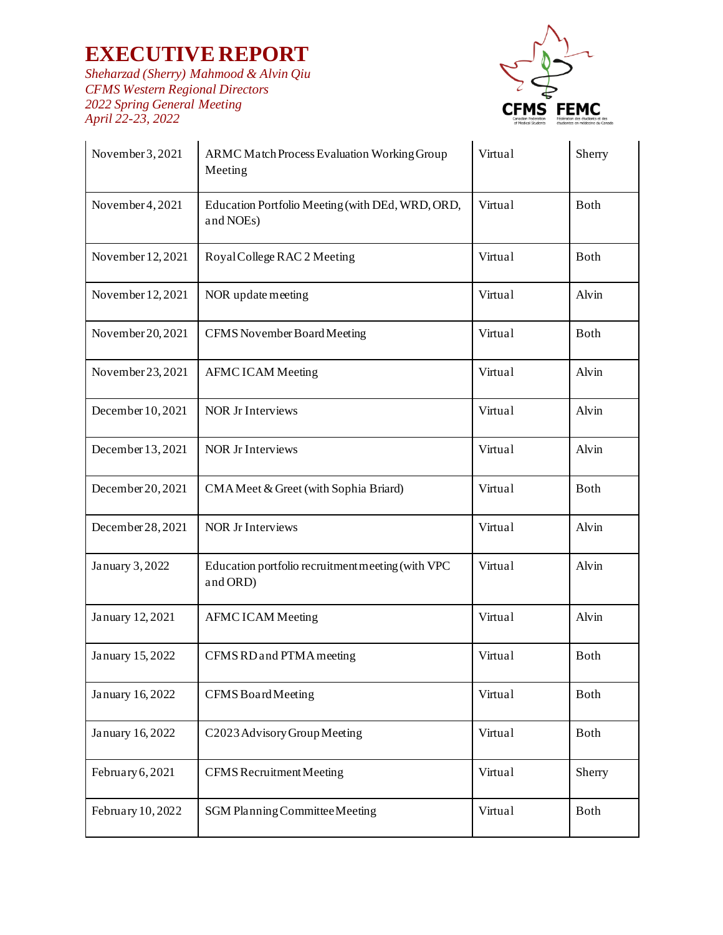*Sheharzad (Sherry) Mahmood & Alvin Qiu CFMS Western Regional Directors 2022 Spring General Meeting April 22-23, 2022*



| November 3, 2021  | ARMC Match Process Evaluation Working Group<br>Meeting        | Virtual | Sherry      |
|-------------------|---------------------------------------------------------------|---------|-------------|
| November 4, 2021  | Education Portfolio Meeting (with DEd, WRD, ORD,<br>and NOEs) | Virtual | Both        |
| November 12, 2021 | Royal College RAC 2 Meeting                                   | Virtual | <b>Both</b> |
| November 12, 2021 | NOR update meeting                                            | Virtual | Alvin       |
| November 20, 2021 | CFMS November Board Meeting                                   | Virtual | Both        |
| November 23, 2021 | <b>AFMC ICAM Meeting</b>                                      | Virtual | Alvin       |
| December 10, 2021 | <b>NOR Jr Interviews</b>                                      | Virtual | Alvin       |
| December 13, 2021 | <b>NOR Jr Interviews</b>                                      | Virtual | Alvin       |
| December 20, 2021 | CMA Meet & Greet (with Sophia Briard)                         | Virtual | Both        |
| December 28, 2021 | <b>NOR Jr Interviews</b>                                      | Virtual | Alvin       |
| January 3, 2022   | Education portfolio recruitment meeting (with VPC<br>and ORD) | Virtual | Alvin       |
| January 12, 2021  | <b>AFMC ICAM Meeting</b>                                      | Virtual | Alvin       |
| January 15, 2022  | CFMS RD and PTMA meeting                                      | Virtual | <b>Both</b> |
| January 16, 2022  | <b>CFMS</b> Board Meeting                                     | Virtual | Both        |
| January 16, 2022  | C2023 Advisory Group Meeting                                  | Virtual | Both        |
| February 6, 2021  | <b>CFMS</b> Recruitment Meeting                               | Virtual | Sherry      |
| February 10, 2022 | SGM Planning Committee Meeting                                | Virtual | Both        |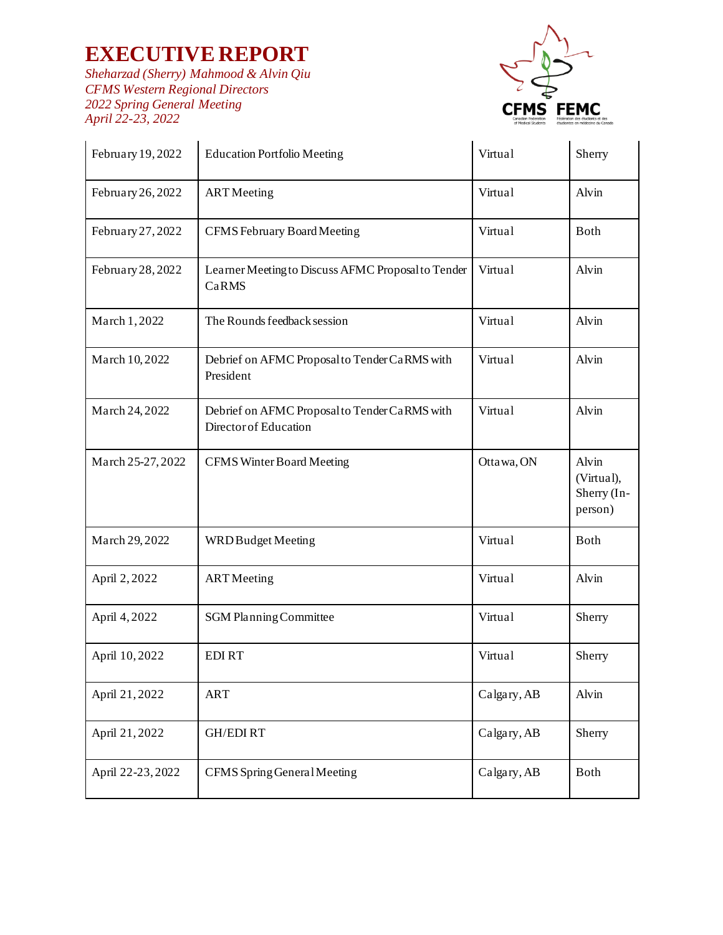*Sheharzad (Sherry) Mahmood & Alvin Qiu CFMS Western Regional Directors 2022 Spring General Meeting April 22-23, 2022*



| February 19, 2022 | <b>Education Portfolio Meeting</b>                                     | Virtual     | Sherry                                        |
|-------------------|------------------------------------------------------------------------|-------------|-----------------------------------------------|
| February 26, 2022 | <b>ART</b> Meeting                                                     | Virtual     | Alvin                                         |
| February 27, 2022 | <b>CFMS</b> February Board Meeting                                     | Virtual     | <b>Both</b>                                   |
| February 28, 2022 | Learner Meeting to Discuss AFMC Proposal to Tender<br>CaRMS            | Virtual     | Alvin                                         |
| March 1,2022      | The Rounds feedback session                                            | Virtual     | Alvin                                         |
| March 10, 2022    | Debrief on AFMC Proposal to Tender CaRMS with<br>President             | Virtual     | Alvin                                         |
| March 24, 2022    | Debrief on AFMC Proposal to Tender CaRMS with<br>Director of Education | Virtual     | Alvin                                         |
| March 25-27, 2022 | <b>CFMS Winter Board Meeting</b>                                       | Ottawa, ON  | Alvin<br>(Virtual),<br>Sherry (In-<br>person) |
| March 29, 2022    | WRD Budget Meeting                                                     | Virtual     | <b>Both</b>                                   |
| April 2, 2022     | <b>ART</b> Meeting                                                     | Virtual     | Alvin                                         |
| April 4, 2022     | SGM Planning Committee                                                 | Virtual     | Sherry                                        |
| April 10,2022     | <b>EDIRT</b>                                                           | Virtual     | Sherry                                        |
| April 21, 2022    | <b>ART</b>                                                             | Calgary, AB | Alvin                                         |
| April 21, 2022    | <b>GH/EDIRT</b>                                                        | Calgary, AB | Sherry                                        |
| April 22-23, 2022 | CFMS Spring General Meeting                                            | Calgary, AB | <b>Both</b>                                   |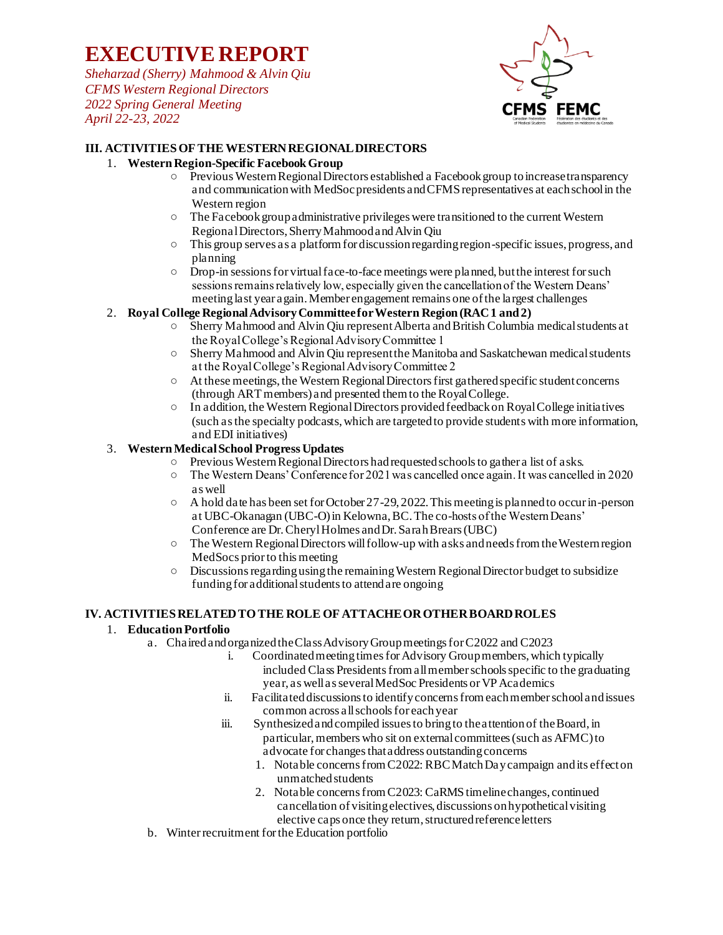*Sheharzad (Sherry) Mahmood & Alvin Qiu CFMS Western Regional Directors 2022 Spring General Meeting April 22-23, 2022*



### **III. ACTIVITIES OF THE WESTERN REGIONAL DIRECTORS**

### 1. **Western Region-Specific Facebook Group**

- Previous Western Regional Directors established a Facebook group to increase transparency and communication with MedSoc presidents and CFMS representatives at each school in the Western region
- The Facebook group administrative privileges were transitioned to the current Western Regional Directors, Sherry Mahmood and Alvin Qiu
- This group serves as a platform for discussion regarding region-specific issues, progress, and planning
- Drop-in sessions for virtual face-to-face meetings were planned, but the interest for such sessions remains relatively low, especially given the cancellation of the Western Deans' meeting last year again. Member engagement remains one of the largest challenges

## 2. **Royal College Regional Advisory Committee for Western Region (RAC 1 and 2)**

- Sherry Mahmood and Alvin Qiu represent Alberta and British Columbia medical students at the Royal College's Regional Advisory Committee 1
- Sherry Mahmood and Alvin Qiu represent the Manitoba and Saskatchewan medical students at the Royal College's Regional Advisory Committee 2
- At these meetings, the Western Regional Directors first gathered specific student concerns (through ART members) and presented them to the Royal College.
- In addition, the Western Regional Directors provided feedback on Royal College initiatives (such as the specialty podcasts, which are targeted to provide students with more information, and EDI initiatives)

### 3. **Western Medical School Progress Updates**

- Previous Western Regional Directors had requested schools to gather a list of asks.<br>○ The Western Deans' Conference for 2021 was cancelled once again. It was cancelle
- The Western Deans' Conference for 2021 was cancelled once again. It was cancelled in 2020 as well
- $\circ$  A hold date has been set for October 27-29, 2022. This meeting is planned to occur in-person at UBC-Okanagan (UBC-O) in Kelowna, BC. The co-hosts of the Western Deans' Conference are Dr. Cheryl Holmes and Dr. Sarah Brears (UBC)
- $\circ$  The Western Regional Directors will follow-up with asks and needs from the Western region MedSocs prior to this meeting
- Discussions regarding using the remaining Western Regional Director budget to subsidize funding for additional students to attend are ongoing

#### **IV. ACTIVITIES RELATED TO THE ROLE OF ATTACHE OR OTHER BOARD ROLES**

#### 1. **Education Portfolio**

- a. Chaired and organized the Class Advisory Group meetings for C2022 and C2023
	- i. Coordinated meeting times for Advisory Group members, which typically included Class Presidents from all member schools specific to the graduating year, as well as several MedSoc Presidents or VP Academics
	- ii. Facilitated discussions to identify concerns from each member school and issues common across all schools for each year
	- iii. Synthesized and compiled issues to bring to the attention of the Board, in particular, members who sit on external committees (such as AFMC) to advocate for changes that address outstanding concerns
		- 1. Notable concerns from C2022: RBC Match Day campaign and its effect on unmatched students
		- 2. Notable concerns from C2023: CaRMS timeline changes, continued cancellation of visiting electives, discussions on hypothetical visiting elective caps once they return, structured reference letters
- b. Winter recruitment for the Education portfolio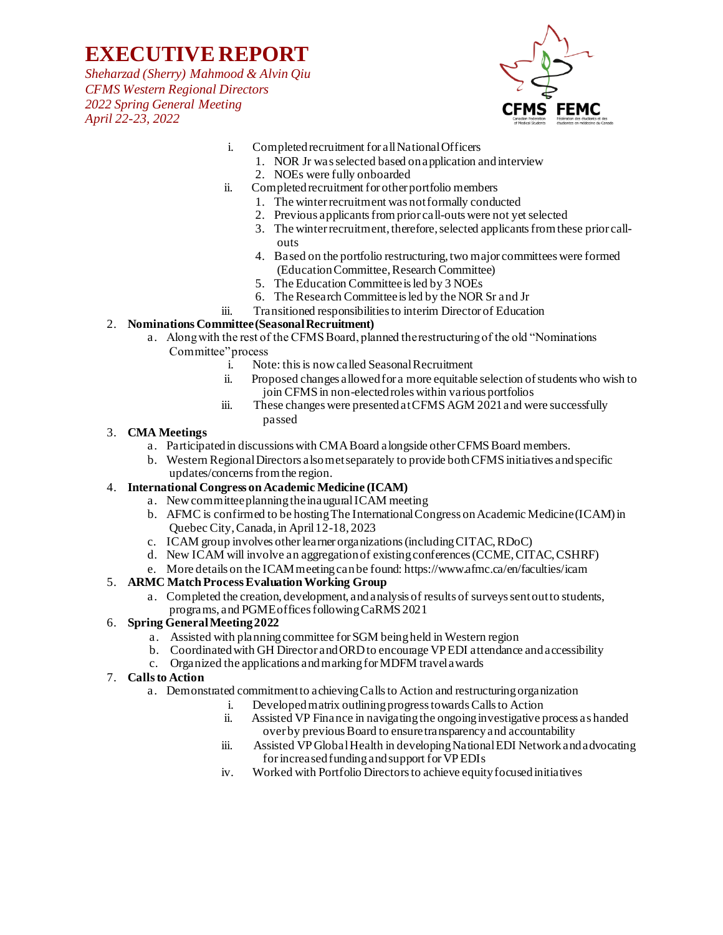*Sheharzad (Sherry) Mahmood & Alvin Qiu CFMS Western Regional Directors 2022 Spring General Meeting April 22-23, 2022*



- i. Completed recruitment for all National Officers
	- 1. NOR Jr was selected based on application and interview
	- 2. NOEs were fully onboarded
- ii. Completed recruitment for other portfolio members
	- 1. The winter recruitment was not formally conducted
	- 2. Previous applicants from prior call-outs were not yet selected
	- 3. The winter recruitment, therefore, selected applicants from these prior callouts
	- 4. Based on the portfolio restructuring, two major committees were formed (Education Committee, Research Committee)
	- 5. The Education Committee is led by 3 NOEs
	- 6. The Research Committee is led by the NOR Sr and Jr
- iii. Transitioned responsibilities to interim Director of Education

### 2. **Nominations Committee (Seasonal Recruitment)**

- a. Along with the rest of the CFMS Board, planned the restructuring of the old "Nominations Committee" process
	- i. Note: this is now called Seasonal Recruitment
	- ii. Proposed changes allowed for a more equitable selection of students who wish to join CFMS in non-elected roles within various portfolios
	- iii. These changes were presented at CFMS AGM 2021 and were successfully passed

#### 3. **CMA Meetings**

- a. Participated in discussions with CMA Board alongside other CFMS Board members.
- b. Western Regional Directors also met separately to provide both CFMS initiatives and specific updates/concerns from the region.

### 4. **International Congress on Academic Medicine (ICAM)**

- a. New committee planning the inaugural ICAM meeting
- b. AFMC is confirmed to be hosting The International Congress on Academic Medicine (ICAM) in Quebec City, Canada, in April 12-18, 2023
- c. ICAM group involves other learner organizations (including CITAC, RDoC)
- d. New ICAM will involve an aggregation of existing conferences (CCME, CITAC, CSHRF)
- e. More details on the ICAM meeting can be found: https://www.afmc.ca/en/faculties/icam

#### 5. **ARMC Match Process Evaluation Working Group**

a. Completed the creation, development, and analysis of results of surveys sent out to students, programs, and PGME offices following CaRMS 2021

#### 6. **Spring General Meeting 2022**

- a. Assisted with planning committee for SGM being held in Western region
- b. Coordinated with GH Director and ORD to encourage VP EDI attendance and accessibility
- c. Organized the applications and marking for MDFM travel awards

#### 7. **Calls to Action**

- a. Demonstrated commitment to achieving Calls to Action and restructuring organization
	- i. Developed matrix outlining progress towards Calls to Action
	- ii. Assisted VP Finance in navigating the ongoing investigative process as handed over by previous Board to ensure transparency and accountability
	- iii. Assisted VP Global Health in developing National EDI Network and advocating for increased funding and support for VP EDIs
	- iv. Worked with Portfolio Directors to achieve equity focused initiatives